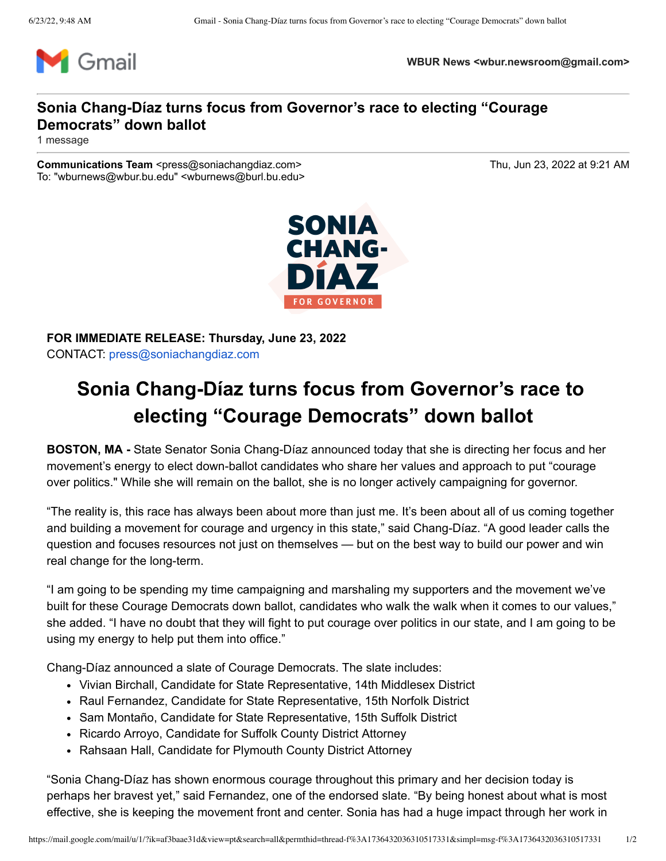

**WBUR News <wbur.newsroom@gmail.com>**

## **Sonia Chang-Díaz turns focus from Governor's race to electing "Courage Democrats" down ballot**

1 message

**Communications Team** <press@soniachangdiaz.com> Thu, Jun 23, 2022 at 9:21 AM To: "wburnews@wbur.bu.edu" <wburnews@burl.bu.edu>



**FOR IMMEDIATE RELEASE: Thursday, June 23, 2022** CONTACT: [press@soniachangdiaz.com](mailto:press@soniachangdiaz.com)

## **Sonia Chang-Díaz turns focus from Governor's race to electing "Courage Democrats" down ballot**

**BOSTON, MA -** State Senator Sonia Chang-Díaz announced today that she is directing her focus and her movement's energy to elect down-ballot candidates who share her values and approach to put "courage over politics." While she will remain on the ballot, she is no longer actively campaigning for governor.

"The reality is, this race has always been about more than just me. It's been about all of us coming together and building a movement for courage and urgency in this state," said Chang-Díaz. "A good leader calls the question and focuses resources not just on themselves — but on the best way to build our power and win real change for the long-term.

"I am going to be spending my time campaigning and marshaling my supporters and the movement we've built for these Courage Democrats down ballot, candidates who walk the walk when it comes to our values," she added. "I have no doubt that they will fight to put courage over politics in our state, and I am going to be using my energy to help put them into office."

Chang-Díaz announced a slate of Courage Democrats. The slate includes:

- Vivian Birchall, Candidate for State Representative, 14th Middlesex District
- Raul Fernandez, Candidate for State Representative, 15th Norfolk District
- Sam Montaño, Candidate for State Representative, 15th Suffolk District
- Ricardo Arroyo, Candidate for Suffolk County District Attorney
- Rahsaan Hall, Candidate for Plymouth County District Attorney

"Sonia Chang-Díaz has shown enormous courage throughout this primary and her decision today is perhaps her bravest yet," said Fernandez, one of the endorsed slate. "By being honest about what is most effective, she is keeping the movement front and center. Sonia has had a huge impact through her work in